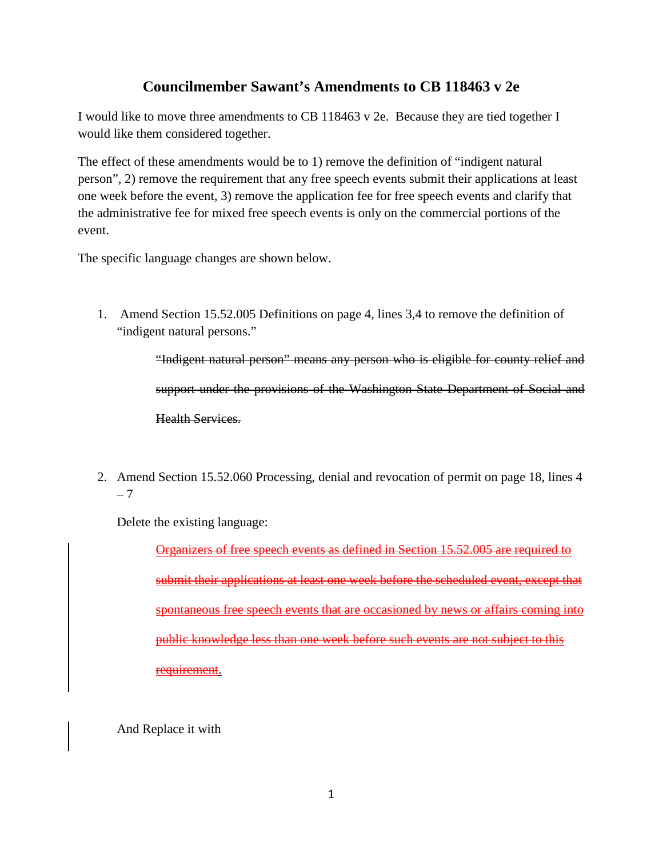## **Councilmember Sawant's Amendments to CB 118463 v 2e**

I would like to move three amendments to CB 118463 v 2e. Because they are tied together I would like them considered together.

The effect of these amendments would be to 1) remove the definition of "indigent natural person", 2) remove the requirement that any free speech events submit their applications at least one week before the event, 3) remove the application fee for free speech events and clarify that the administrative fee for mixed free speech events is only on the commercial portions of the event.

The specific language changes are shown below.

1. Amend Section 15.52.005 Definitions on page 4, lines 3,4 to remove the definition of "indigent natural persons."

> "Indigent natural person" means any person who is eligible for county relief and support under the provisions of the Washington State Department of Social and Health Services.

2. Amend Section 15.52.060 Processing, denial and revocation of permit on page 18, lines 4 – 7

Delete the existing language:

Organizers of free speech events as defined in Section 15.52.005 are required to submit their applications at least one week before the scheduled event, except that spontaneous free speech events that are occasioned by news or affairs coming into public knowledge less than one week before such events are not subject to this requirement.

And Replace it with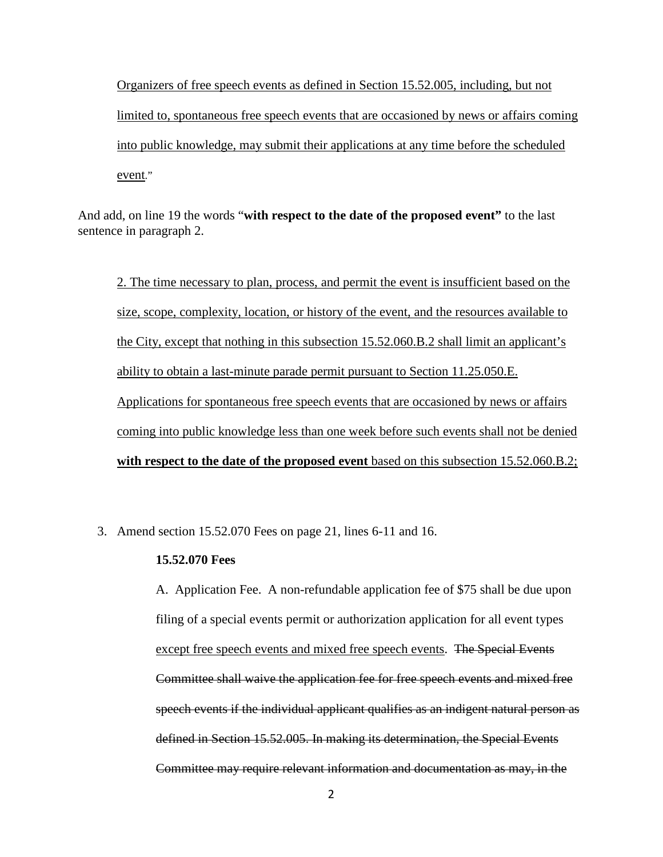Organizers of free speech events as defined in Section 15.52.005, including, but not limited to, spontaneous free speech events that are occasioned by news or affairs coming into public knowledge, may submit their applications at any time before the scheduled event."

And add, on line 19 the words "**with respect to the date of the proposed event"** to the last sentence in paragraph 2.

2. The time necessary to plan, process, and permit the event is insufficient based on the size, scope, complexity, location, or history of the event, and the resources available to the City, except that nothing in this subsection 15.52.060.B.2 shall limit an applicant's ability to obtain a last-minute parade permit pursuant to Section 11.25.050.E. Applications for spontaneous free speech events that are occasioned by news or affairs coming into public knowledge less than one week before such events shall not be denied **with respect to the date of the proposed event** based on this subsection 15.52.060.B.2;

3. Amend section 15.52.070 Fees on page 21, lines 6-11 and 16.

## **15.52.070 Fees**

A. Application Fee. A non-refundable application fee of \$75 shall be due upon filing of a special events permit or authorization application for all event types except free speech events and mixed free speech events. The Special Events Committee shall waive the application fee for free speech events and mixed free speech events if the individual applicant qualifies as an indigent natural person as defined in Section 15.52.005. In making its determination, the Special Events Committee may require relevant information and documentation as may, in the